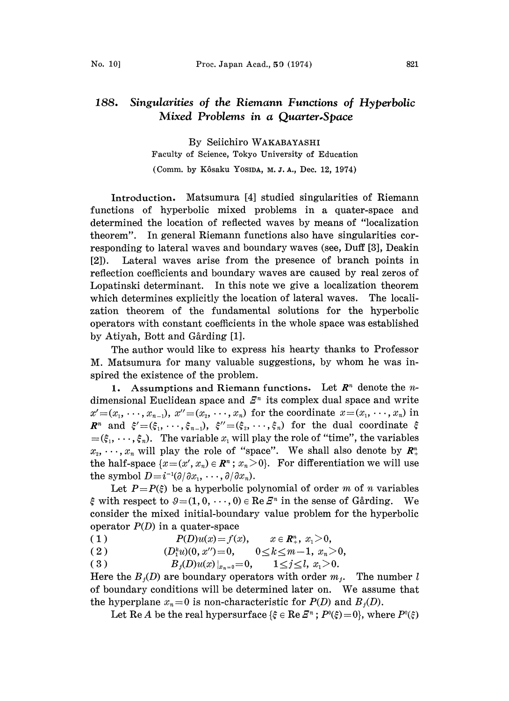By Seiichiro WAKABAYASHI Faculty of Science, Tokyo University of Education (Comm. by Kôsaku Yosipa, M. J. A., Dec. 12, 1974)

Introduction. Matsumura [4] studied singularities of Riemann functions of hyperbolic mixed problems in a quater-space and determined the location of reflected waves by means of "localization theorem". In general Riemann functions also have singularities corresponding to lateral waves and boundary waves (see, Duff [3], Deakin [2]). Lateral waves arise from the presence of branch points in reflection coefficients and boundary waves are caused by real zeros of Lopatinski determinant. In this note we give a localization theorem which determines explicitly the location of lateral waves. The localization theorem of the fundamental solutions for the hyperbolic operators with constant coefficients in the whole space was established by Atiyah, Bott and Gårding [1].

The author would like to express his hearty thanks to Professor M. Matsumura for many valuable suggestions, by whom he was inspired the existence of the problem.

1. Assumptions and Riemann functions. Let  $R<sup>n</sup>$  denote the *n*dimensional Euclidean space and  $E<sup>n</sup>$  its complex dual space and write  $x'=(x_1, \dots, x_{n-1}), x''=(x_2, \dots, x_n)$  for the coordinate  $x=(x_1, \dots, x_n)$  in  $\mathbb{R}^n$  and  $\xi'=(\xi_1,\cdots,\xi_{n-1}), \xi''=(\xi_2,\cdots,\xi_n)$  for the dual coordinate  $\xi$  $=(\xi_1, \dots, \xi_n)$ . The variable  $x_i$  will play the role of "time", the variables  $x_2, \dots, x_n$  will play the role of "space". We shall also denote by  $\mathbb{R}^n_+$ the half-space  $\{x=(x', x_n) \in \mathbb{R}^n : x_n > 0\}$ . For differentiation we will use the symbol  $D=i^{-1}(\partial/\partial x_1, \cdots, \partial/\partial x_n)$ .

Let  $P=P(\xi)$  be a hyperbolic polynomial of order m of n variables  $\xi$  with respect to  $\vartheta=(1, 0, \dots, 0) \in \text{Re } \mathbb{Z}^n$  in the sense of Gårding. We consider the mixed initial-boundary value problem for the hyperbolic operator  $P(D)$  in a quater-space

( 1 )  $P(D)u(x) = f(x),$  $x \in \mathbb{R}_+^n$ ,  $x_1 > 0$ ,

(1)  $P(D)u(x) = f(x),$   $x \in \mathbb{R}^n_+, x_1 > 0,$ <br>
(2)  $(D_1^k u)(0, x'') = 0,$   $0 \le k \le m-1, x_n > 0,$ 

( 3 )  $B_j(D)u(x)|_{x_{n=0}} = 0, \qquad 1 \leq j \leq l, \ x_1 > 0.$ 

Here the  $B_i(D)$  are boundary operators with order  $m_i$ . The number l of boundary conditions will be determined later on. We assume that the hyperplane  $x_n=0$  is non-characteristic for  $P(D)$  and  $B<sub>i</sub>(D)$ .

Let Re A be the real hypersurface  $\{\xi \in \text{Re } E^n : P^0(\xi)=0\}$ , where  $P^0(\xi)$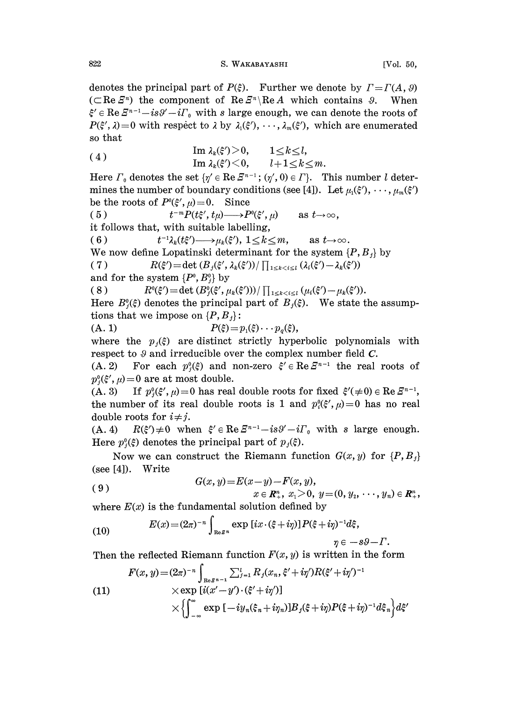denotes the principal part of  $P(\xi)$ . Further we denote by  $\Gamma = \Gamma(A, \vartheta)$ ( $\subset \text{Re } \mathcal{E}^n$ ) the component of  $\text{Re } \mathcal{E}^n \setminus \text{Re } A$  which contains  $\vartheta$ . When  $\xi' \in \text{Re } \mathcal{Z}^{n-1} - is\vartheta' - i\Gamma_0$  with s large enough, we can denote the roots of  $P(\xi', \lambda) = 0$  with respect to  $\lambda$  by  $\lambda_1(\xi'), \dots, \lambda_m(\xi')$ , which are enumerated so that

(4) 
$$
\operatorname{Im} \lambda_k(\xi') > 0, \qquad 1 \le k \le l, \operatorname{Im} \lambda_k(\xi') < 0, \qquad l+1 \le k \le m.
$$

Here  $\Gamma_0$  denotes the set  $\{\eta' \in \text{Re } \mathbb{Z}^{n-1} \colon (\eta', 0) \in \Gamma\}$ . This number l determines the number of boundary conditions (see [4]). Let  $\mu_1(\xi'), \dots, \mu_m(\xi')$ be the roots of  $P^0(\xi', \mu)=0$ . Since

( 5 )  $t^{-m}P(t\xi', t\mu) \longrightarrow P^0(\xi',\mu)$  as  $t \to \infty$ , it follows that, with suitable labelling,

( 6 )  $t^{-1}\lambda_k(t\xi') \longrightarrow \mu_k(\xi'), 1 \leq k \leq m, \text{ as } t \to \infty.$ 

We now define Lopatinski determinant for the system  $\{P, B_j\}$  by

(6)  $t^{-1}\lambda_k(t\xi') \longrightarrow \mu_k(\xi'), 1 \le k \le m,$  as  $t \longrightarrow \infty$ .<br>We now define Lopatinski determinant for the system  $\{P,$ <br>(7)  $R(\xi') = \det (B_j(\xi', \lambda_k(\xi')) / \prod_{1 \le k < i \le l} (\lambda_i(\xi') - \lambda_k(\xi'))$ <br>and for the system  $\{P^0, B^0\}$  by

and for the system  $\{P^0, B^0_i\}$  by

( 8 )  $R^{0}(\xi') = \det (B_{j}^{0}(\xi', \mu_{k}(\xi'))) / \prod_{1 \leq k < i \leq l} (\mu_{i}(\xi') - \mu_{k}(\xi')).$ 

Here  $B_{i}^{0}(\xi)$  denotes the principal part of  $B_{i}(\xi)$ . We state the assumptions that we impose on  $\{P, B_j\}$ :

(A. 1)  $P(\xi) = p_1(\xi) \cdots p_a(\xi),$ 

where the  $p_i(\xi)$  are distinct strictly hyperbolic polynomials with respect to  $\vartheta$  and irreducible over the complex number field  $C$ .

(A. 2) For each  $p_i^0(\xi)$  and non-zero  $\xi' \in \text{Re } \mathbb{F}^{n-1}$  the real roots of  $p_{i}^{0}(\xi', \mu)=0$  are at most double.

(A. 3) If  $p_{i}^{0}(\xi', \mu)=0$  has real double roots for fixed  $\xi'(\neq 0) \in \text{Re } \mathbb{Z}^{n-1}$ , the number of its real double roots is 1 and  $p_i^0(\xi', \mu) = 0$  has no real double roots for  $i \neq j$ .

(A. 4)  $R(\xi') \neq 0$  when  $\xi' \in \text{Re } \xi^{n-1} - is\vartheta' - i\Gamma_0$  with s large enough. Here  $p_j^0(\xi)$  denotes the principal part of  $p_j(\xi)$ .

Now we can construct the Riemann function  $G(x, y)$  for  $\{P, B_j\}$ (see [4]). Write

(9) 
$$
G(x, y) = E(x - y) - F(x, y),
$$

$$
x \in \mathbb{R}^n_+, x_1 > 0, y = (0, y_2, \dots, y_n) \in \mathbb{R}^n_+,
$$

where  $E(x)$  is the fundamental solution defined by

(10) 
$$
E(x) = (2\pi)^{-n} \int_{\text{Re}\mathcal{S}^n} \exp [ix \cdot (\xi + i\eta)] P(\xi + i\eta)^{-1} d\xi,
$$

$$
\eta \in -s\vartheta - \Gamma.
$$

Then the reflected Riemann function  $F(x, y)$  is written in the form

(11)  
\n
$$
F(x, y) = (2\pi)^{-n} \int_{\text{Re}\,S^{n-1}} \sum_{j=1}^{l} R_j(x_n, \xi' + i\eta') R(\xi' + i\eta')^{-1}
$$
\n
$$
\times \exp [i(x' - y') \cdot (\xi' + i\eta')] \times \left\{ \int_{-\infty}^{\infty} \exp [-iy_n(\xi_n + i\eta_n)] B_j(\xi + i\eta) P(\xi + i\eta)^{-1} d\xi_n \right\} d\xi'
$$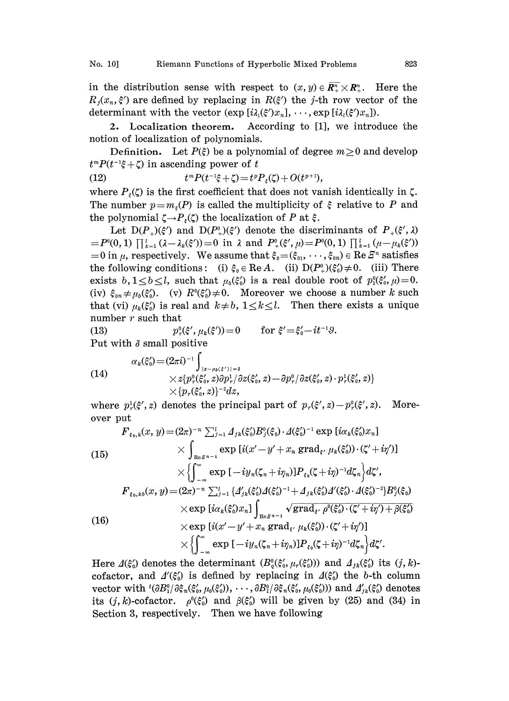in the distribution sense with respect to  $(x, y) \in \overline{R^n_+} \times R^n_+$ . Here the  $R_i(x_i, \xi')$  are defined by replacing in  $R(\xi')$  the j-th row vector of the determinant with the vector  $(\exp[i\lambda_i(\xi')x_n], \dots, \exp[i\lambda_i(\xi')x_n]).$ 

2. Localization theorem. According to [1], we introduce he notion of localization of polynomials.

Definition. Let  $P(\xi)$  be a polynomial of degree  $m \geq 0$  and develop  $t^m P(t^{-1}\xi + \zeta)$  in ascending power of t

(12)  $t^m P(t^{-1}\xi + \zeta) = t^p P_{\xi}(\zeta) + O(t^{p+1}),$ 

where  $P_{\varepsilon}(\zeta)$  is the first coefficient that does not vanish identically in  $\zeta$ . The number  $p=m<sub>\epsilon</sub>(P)$  is called the multiplicity of  $\xi$  relative to P and the polynomial  $\zeta \rightarrow P_{\xi}(\zeta)$  the localization of P at  $\xi$ .

Let  $D(P_{\mu})(\xi')$  and  $D(P_{\mu})(\xi')$  denote the discriminants of  $P_{\mu}(\xi',\lambda)$  $= P^{0}(0, 1) \prod_{k=1}^{l} (\lambda - \lambda_k(\xi')) = 0$  in  $\lambda$  and  $P^{0}( \xi', \mu) = P^{0}(0, 1) \prod_{k=1}^{l} (\mu - \mu_k(\xi'))$ = 0 in  $\mu$ , respectively. We assume that  $\xi_0 = (\xi_{01}, \dots, \xi_{0n}) \in \text{Re } \mathbb{Z}^n$  satisfies the following conditions: (i)  $\xi_0 \in \text{Re } A$ . (ii)  $D(P_+^0)(\xi_0') \neq 0$ . (iii) There exists  $b, 1 \leq b \leq l$ , such that  $\mu_b(\xi_0)$  is a real double root of  $p_1^0(\xi_0, \mu)=0$ . (iv)  $\xi_{0n} \neq \mu_b(\xi_0')$ . (v)  $R^0(\xi_0') \neq 0$ . Moreover we choose a number k such that (vi)  $\mu_k(\xi_0)$  is real and  $k \neq b$ ,  $1 \leq k \leq l$ . Then there exists a unique number r such that

(13)  $p_r^0(\xi', \mu_k(\xi')) = 0$  for  $\xi' = \xi'_0 - it^{-1} \vartheta$ . Put with  $\delta$  small positive

(14)  
\n
$$
\alpha_k(\xi'_0) = (2\pi i)^{-1} \int_{\substack{|z - \mu_k(\xi')| = \delta \\ \times \{p_\tau^0(\xi'_0, z)\partial p_\tau^1/\partial z(\xi'_0, z) - \partial p_\tau^0/\partial z(\xi'_0, z) \cdot p_\tau^1(\xi'_0, z)\}} \times \{p_\tau(\xi'_0, z)\}^{-2} dz,
$$

where  $p_r^1(\xi', z)$  denotes the principal part of  $p_r(\xi', z) - p_r^0(\xi', z)$ . Moreover put

(15)  
\n
$$
F_{\varepsilon_{0},k}(x,y) = (2\pi)^{-n} \sum_{j=1}^{l} \Delta_{jk}(\xi'_{0})B_{j}^{0}(\xi_{0}) \cdot \Delta(\xi'_{0})^{-1} \exp [i\alpha_{k}(\xi'_{0})x_{n}]
$$
\n
$$
\times \int_{\text{Re}\,\xi^{n-1}} \exp [i(x'-y'+x_{n} \operatorname{grad}_{\xi'} \mu_{k}(\xi'_{0})) \cdot (\zeta'+i\eta')] \times \left\{ \int_{-\infty}^{\infty} \exp [-iy_{n}(\zeta_{n}+i\eta_{n})]P_{\xi_{0}}(\zeta+i\eta)^{-1}d\zeta_{n} \right\} d\zeta',
$$
\n
$$
F_{\varepsilon_{0},k b}(x,y) = (2\pi)^{-n} \sum_{j=1}^{l} \{ \Delta'_{jk}(\xi'_{0})\Delta(\xi'_{0})^{-1} + \Delta_{jk}(\xi'_{0})\Delta'(\xi'_{0}) \cdot \Delta(\xi'_{0})^{-2} \}B_{j}^{0}(\xi_{0})
$$
\n
$$
\times \exp [i\alpha_{k}(\xi'_{0})x_{n}] \int_{\text{Re}\,\xi^{n-1}} \sqrt{\text{grad}_{\xi'} \rho^{0}(\xi'_{0}) \cdot (\zeta'+i\eta') + \beta(\xi'_{0})}
$$
\n(16)  
\n
$$
\times \exp [i(x'-y'+x_{n} \operatorname{grad}_{\xi'} \mu_{k}(\xi'_{0})) \cdot (\zeta'+i\eta')] \times \left\{ \int_{-\infty}^{\infty} \exp [-iy_{n}(\zeta_{n}+i\eta_{n})]P_{\xi_{0}}(\zeta+i\eta)^{-1}d\zeta_{n} \right\} d\zeta'.
$$

Here  $\Delta(\xi_0)$  denotes the determinant  $(B_0^0(\xi_0', \mu_r(\xi_0'))$  and  $A_{ik}(\xi_0')$  its  $(j, k)$ cofactor, and  $\Delta'(\xi_0)$  is defined by replacing in  $\Delta(\xi_0)$  the b-th column vector with  ${}^{t}(\partial B_1^0/\partial \xi_n(\xi'_0, \mu_0(\xi'_0)), \cdots, \partial B_l^0/\partial \xi_n(\xi'_0, \mu_0(\xi'_0)))$  and  $\Delta'_{jk}(\xi'_0)$  denotes its  $(j, k)$ -cofactor.  $\rho^{0}(\xi_0)$  and  $\beta(\xi_0)$  will be given by (25) and (34) in Section 3, respectively. Then we have following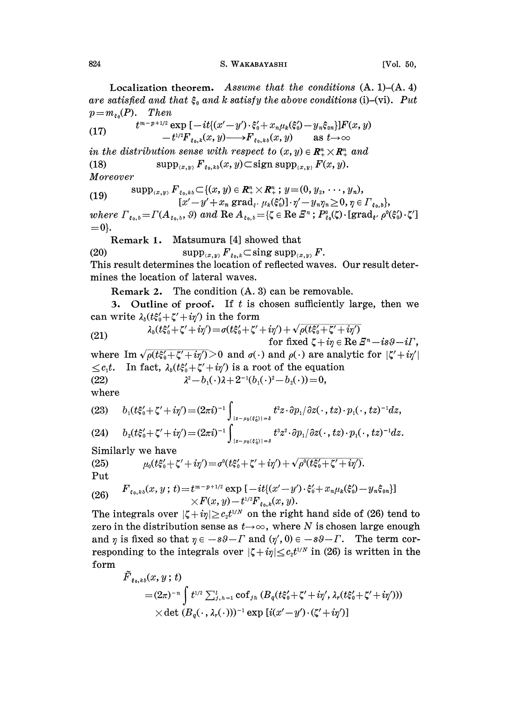824 S. WAKABAYASHI [Vol. 50,

Localization theorem. Assume that the conditions  $(A, 1)$ – $(A, 4)$ are satisfied and that  $\xi_0$  and k satisfy the above conditions (i)-(vi). Put  $p=m_{\varepsilon_0}(P)$ . Then

$$
(17) \qquad \qquad t^{m-p+1/2} \exp\left[-it\{(x'-y')\cdot\xi_0'+x_n\mu_k(\xi_0')-y_n\xi_{0n}\}\right]F(x,y) \\qquad \qquad -t^{1/2}F_{\xi_0,k}(x,y)\longrightarrow F_{\xi_0,kb}(x,y) \qquad \text{as } t\to\infty
$$

in the distribution sense with respect to  $(x, y) \in \mathbb{R}_+^n \times \mathbb{R}_+^n$  and

(18)  $\sup_{(x,y)} F_{\xi_0,k} (x,y) \subset \text{sign} \sup_{(x,y)} F(x,y).$ 

Moreover

(19) 
$$
\sup_{[x',y)} F_{\xi_0,kb} \subset \{(x,y) \in \mathbb{R}^n_+ \times \mathbb{R}^n_+ \; ; \; y = (0,y_2,\cdots,y_n), \\ [x'-y'+x_n \text{ grad}_{\xi'} \mu_k(\xi'_0)] \cdot \eta' - y_n \eta_n \ge 0, \eta \in \Gamma_{\xi_0,b}\},
$$
  
where  $\Gamma = \Gamma(A \quad \text{and } \text{Re } A = \Pi \subset \mathbb{R}^n_+ \cap \mathbb{R}^n_+ \cap \mathbb{R}^n_+ \cap \mathbb{R}^n_+ \cap \mathbb{R}^n_+ \cap \mathbb{R}^n_+ \cap \mathbb{R}^n_+ \cap \mathbb{R}^n_+ \cap \mathbb{R}^n_+ \cap \mathbb{R}^n_+ \cap \mathbb{R}^n_+ \cap \mathbb{R}^n_+ \cap \mathbb{R}^n_+ \cap \mathbb{R}^n_+ \cap \mathbb{R}^n_+ \cap \mathbb{R}^n_+ \cap \mathbb{R}^n_+ \cap \mathbb{R}^n_+ \cap \mathbb{R}^n_+ \cap \mathbb{R}^n_+ \cap \mathbb{R}^n_+ \cap \mathbb{R}^n_+ \cap \mathbb{R}^n_+ \cap \mathbb{R}^n_+ \cap \mathbb{R}^n_+ \cap \mathbb{R}^n_+ \cap \mathbb{R}^n_+ \cap \mathbb{R}^n_+ \cap \mathbb{R}^n_+ \cap \mathbb{R}^n_+ \cap \mathbb{R}^n_+ \cap \mathbb{R}^n_+ \cap \mathbb{R}^n_+ \cap \mathbb{R}^n_+ \cap \mathbb{R}^n_+ \cap \mathbb{R}^n_+ \cap \mathbb{R}^n_+ \cap \mathbb{R}^n_+ \cap \mathbb{R}^n_+ \cap \mathbb{R}^n_+ \cap \mathbb{R}^n_+ \cap \mathbb{R}^n_+ \cap \mathbb{R}^n_+ \cap \mathbb{R}^n_+ \cap \mathbb{R}^n_+ \cap \mathbb{R}^n_+ \cap \mathbb{R}^n_+ \cap \mathbb{R}^n_+ \cap \mathbb{R}^n_+ \cap \mathbb{R}^n_+ \cap \mathbb{$ 

where  $\Gamma_{\xi_0,b} = \Gamma(A_{\xi_0,b}, \vartheta)$  and  $\text{Re } A_{\xi_0,b} = {\zeta \in \text{Re } \varXi^n : P_{\xi_0}^0(\zeta) \cdot [\text{grad}_{\xi'} \rho^0(\xi_0') \cdot \zeta']}$  $=0$ .

Remark 1. Matsumura [4] showed that

(20)  $\sup_{(x,y)} F_{\xi_{0},k} \subset \text{sing supp}_{(x,y)} F.$ This result determines the location of reflected waves. Our result determines the location of lateral waves.

Remark 2. The condition (A. 3) can be removable.

3. Outline of proof. If  $t$  is chosen sufficiently large, then we can write  $\lambda_b(t\xi_0'+\zeta'+i\eta')$  in the form

(21) 
$$
\lambda_b(t\xi_0'+\zeta'+i\eta') = \sigma(t\xi_0'+\zeta'+i\eta') + \sqrt{\rho(t\xi_0'+\zeta'+i\eta')} \text{ for fixed } \zeta+i\eta \in \text{Re } \mathcal{E}^n - is\vartheta - i\Gamma,
$$

where Im  $\sqrt{\rho(t\xi_0' + \zeta' + i\eta')} > 0$  and  $\sigma(\cdot)$  and  $\rho(\cdot)$  are analytic for  $|\zeta' + i\eta'|$  $\langle c_1t$ . In fact,  $\lambda_h(t\xi'_0+\zeta'+i\eta')$  is a root of the equation (22)  $\lambda^2-b_1(\cdot)\lambda+2^{-1}(b_1(\cdot)^2-b_2(\cdot))=0,$ 

where

$$
(23) \qquad b_1(t\xi_0'+\zeta'+i\eta')=(2\pi i)^{-1}\int_{|z-\mu_b(\xi_0')|=\delta}t^2z\cdot\partial p_1/\partial z(\cdot,tz)\cdot p_1(\cdot,tz)^{-1}dz,
$$

(24) 
$$
b_2(t\xi_0'+\zeta'+i\eta') = (2\pi i)^{-1} \int_{|z-\mu_0(\xi_0)|=\delta} t^3 z^2 \cdot \partial p_1/\partial z(\cdot, tz) \cdot p_1(\cdot, tz)^{-1} dz.
$$
Similarly, we have

' Similarly we have

(25) 
$$
\mu_0(t\xi_0' + \zeta' + i\eta') = \sigma^0(t\xi_0' + \zeta' + i\eta') + \sqrt{\rho^0(t\xi_0' + \zeta' + i\eta')}.
$$
 Put

(26) 
$$
F_{\varepsilon_0,k_0}(x,y;t) = t^{m-p+1/2} \exp \left[ -it \{(x'-y') \cdot \xi_0' + x_n \mu_k(\xi_0') - y_n \xi_{0n} \} \right] \times F(x,y) - t^{1/2} F_{\varepsilon_0,k}(x,y).
$$

The integrals over  $|\zeta + i\eta| \geq c_2 t^{1/N}$  on the right hand side of (26) tend to zero in the distribution sense as  $t\rightarrow\infty$ , where N is chosen large enough and  $\eta$  is fixed so that  $\eta \in -s\vartheta - \varGamma$  and  $(\eta', 0) \in -s\vartheta - \varGamma$ . The term corand  $\eta$  is lixed so that  $\eta \in -s\theta - I$  and  $(\eta, 0) \in -s\theta - I$ . The term corresponding to the integrals over  $|\zeta + i\eta| \leq c_2 t^{1/N}$  in (26) is written in the form

$$
\begin{aligned} &\tilde{F}_{\pmb{\varepsilon}_0,kb}(x,y\,;\,t) \\ =& (2\pi)^{-n}\int t^{1/2}\sum_{j,\,h=1}^l \mathrm{cof}_{jh}\left(B_q(t\xi_0^\prime\!+\!\zeta^\prime\!+\!i\eta^\prime,\lambda_r(t\xi_0^\prime\!+\!\zeta^\prime\!+\!i\eta^\prime))\right) \\ &\quad \times \mathrm{det}\,\left(B_q(\,\cdot\,,\,\lambda_r(\,\cdot\,)))^{-1}\,\mathrm{exp}\left[i(x^\prime\!-\!y^\prime)\!\cdot\!(\zeta^\prime\!+\!i\eta^\prime)\right] \end{aligned}
$$